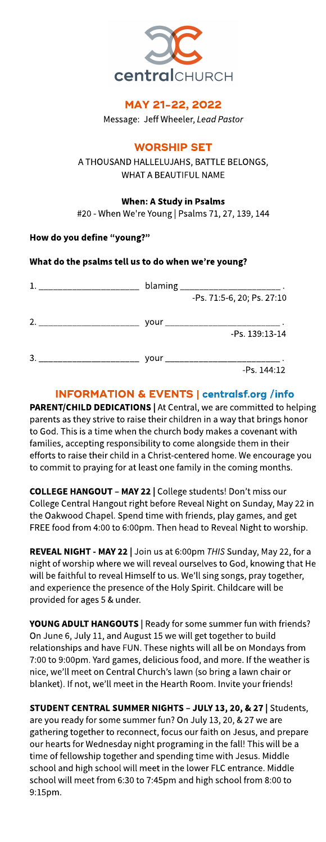

# MAY 21-22, 2022

Message: Jeff Wheeler, Lead Pastor

# **WORSHIP SET**

A THOUSAND HALLELUJAHS, BATTLE BELONGS, WHAT A BEAUTIFUL NAME

## When: AStudy in Psalms

#20 - When We're Young | Psalms 71, 27, 139, 144

## How do you define "young?"

## What do the psalms tell us to do when we?re young?

|   |      | blaming _________________________ |
|---|------|-----------------------------------|
|   |      | -Ps. 71:5-6, 20; Ps. 27:10        |
| 2 | vour | -Ps. 139:13-14                    |
| 3 |      | <b>VOUR</b><br>$-Ps. 144:12$      |
|   |      |                                   |

# INFORMATION& EVENTS| **[centralsf.org/info](http://centralsf.org/info)**

PARENT/CHILD DEDICATIONS | At Central, we are committed to helping parents as they strive to raise their children in a way that brings honor to God. This is a time when the church body makes a covenant with families, accepting responsibility to come alongside them in their efforts to raise their child in a Christ-centered home. We encourage you to commit to praying for at least one family in the coming months.

COLLEGE HANGOUT - MAY 22 | College students! Don't miss our College Central Hangout right before Reveal Night on Sunday, May 22 in the Oakwood Chapel. Spend time with friends, play games, and get FREE food from 4:00 to 6:00pm. Then head to Reveal Night to worship.

REVEAL NIGHT- MAY22 | Join usat 6:00pm **THIS**Sunday, May 22, for a night of worship where we will reveal ourselves to God, knowing that He will be faithful to reveal Himself to us. We?ll sing songs, pray together, and experience the presence of the Holy Spirit. Childcare will be provided for ages 5 & under.

YOUNG ADULT HANGOUTS | Ready for some summer fun with friends? On June 6, July 11, and August 15we will get together to build relationships and have FUN. These nights will all be on Mondays from 7:00 to 9:00pm. Yard games, delicious food, and more. If the weather is nice, we?ll meet on Central Church?slawn (so bring a lawn chair or blanket). If not, we'll meet in the Hearth Room. Invite your friends!

STUDENT CENTRAL SUMMER NIGHTS - JULY 13, 20, & 27 | Students, are you ready for some summer fun?On July 13, 20, &27 we are gathering together to reconnect, focusour faith on Jesus, and prepare our hearts for Wednesday night programing in the fall! This will be a time of fellowship together and spending time with Jesus. Middle school and high school will meet in the lower FLC entrance. Middle school will meet from 6:30 to 7:45pm and high school from 8:00 to 9:15pm.